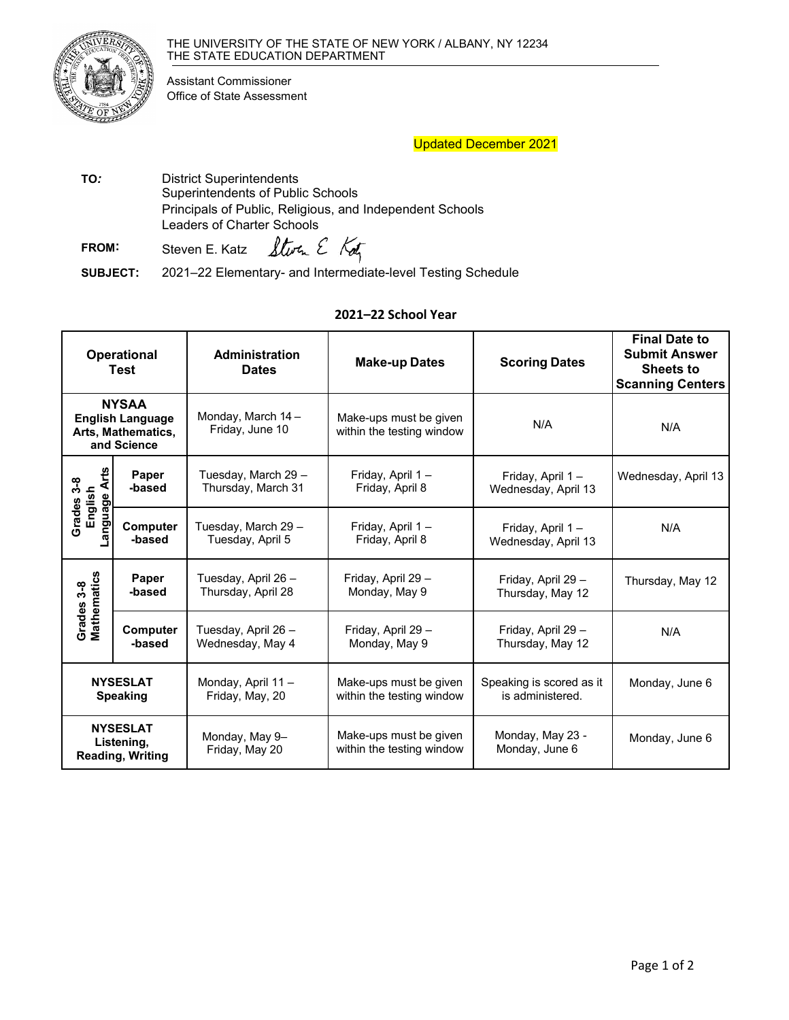

Assistant Commissioner Office of State Assessment

## Updated December 2021

 Principals of Public, Religious, and Independent Schools **TO***:* District Superintendents Superintendents of Public Schools Leaders of Charter Schools

Storm E Kotz **FROM:**  Steven E. Katz

**SUBJECT:** 2021–22 Elementary- and Intermediate-level Testing Schedule

## **2021–22 School Year**

| <b>Operational</b><br>Test                                                   |                           | Administration<br><b>Dates</b>            | <b>Make-up Dates</b>                                | <b>Scoring Dates</b>                         | <b>Final Date to</b><br><b>Submit Answer</b><br><b>Sheets to</b><br><b>Scanning Centers</b> |
|------------------------------------------------------------------------------|---------------------------|-------------------------------------------|-----------------------------------------------------|----------------------------------------------|---------------------------------------------------------------------------------------------|
| <b>NYSAA</b><br><b>English Language</b><br>Arts, Mathematics,<br>and Science |                           | Monday, March 14-<br>Friday, June 10      | Make-ups must be given<br>within the testing window | N/A                                          | N/A                                                                                         |
| ť<br>$3-8$<br>⋖<br>English<br>anguage<br><b>Grades</b>                       | <b>Paper</b><br>-based    | Tuesday, March 29 –<br>Thursday, March 31 | Friday, April 1-<br>Friday, April 8                 | Friday, April 1-<br>Wednesday, April 13      | Wednesday, April 13                                                                         |
|                                                                              | <b>Computer</b><br>-based | Tuesday, March 29 -<br>Tuesday, April 5   | Friday, April 1-<br>Friday, April 8                 | Friday, April 1-<br>Wednesday, April 13      | N/A                                                                                         |
| Grades 3-8<br>Mathematics                                                    | Paper<br>-based           | Tuesday, April 26 -<br>Thursday, April 28 | Friday, April 29 -<br>Monday, May 9                 | Friday, April 29 -<br>Thursday, May 12       | Thursday, May 12                                                                            |
|                                                                              | <b>Computer</b><br>-based | Tuesday, April 26 -<br>Wednesday, May 4   | Friday, April 29 -<br>Monday, May 9                 | Friday, April 29 -<br>Thursday, May 12       | N/A                                                                                         |
| <b>NYSESLAT</b><br><b>Speaking</b>                                           |                           | Monday, April 11 -<br>Friday, May, 20     | Make-ups must be given<br>within the testing window | Speaking is scored as it<br>is administered. | Monday, June 6                                                                              |
| <b>NYSESLAT</b><br>Listening,<br><b>Reading, Writing</b>                     |                           | Monday, May 9-<br>Friday, May 20          | Make-ups must be given<br>within the testing window | Monday, May 23 -<br>Monday, June 6           | Monday, June 6                                                                              |